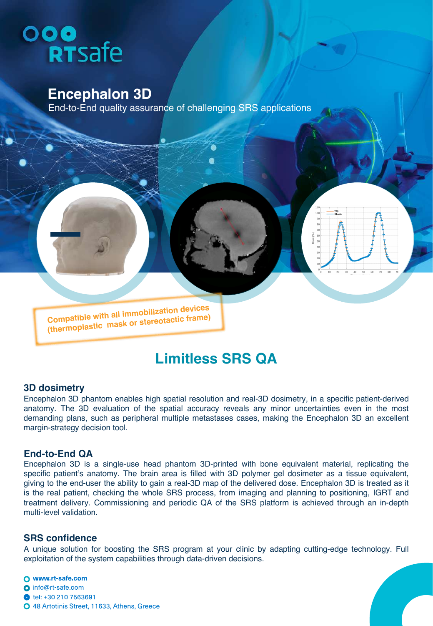# ooo<br>RTSafe

## **Encephalon 3D**

End-to-End quality assurance of challenging SRS applications

**Compatible with all immobilization devices (thermoplastic mask or stereotactic frame)**

## **Limitless SRS QA**

#### **3D dosimetry**

Encephalon 3D phantom enables high spatial resolution and real-3D dosimetry, in a specific patient-derived anatomy. The 3D evaluation of the spatial accuracy reveals any minor uncertainties even in the most demanding plans, such as peripheral multiple metastases cases, making the Encephalon 3D an excellent margin-strategy decision tool.

#### **End-to-End QA**

Encephalon 3D is a single-use head phantom 3D-printed with bone equivalent material, replicating the specific patient's anatomy. The brain area is filled with 3D polymer gel dosimeter as a tissue equivalent, giving to the end-user the ability to gain a real-3D map of the delivered dose. Encephalon 3D is treated as it is the real patient, checking the whole SRS process, from imaging and planning to positioning, IGRT and treatment delivery. Commissioning and periodic QA of the SRS platform is achieved through an in-depth multi-level validation.

#### **SRS confidence**

A unique solution for boosting the SRS program at your clinic by adapting cutting-edge technology. Full exploitation of the system capabilities through data-driven decisions.

O www.rt-safe.com o info@rt-safe.com tel: +30 210 7563691 O 48 Artotinis Street, 11633, Athens, Greece